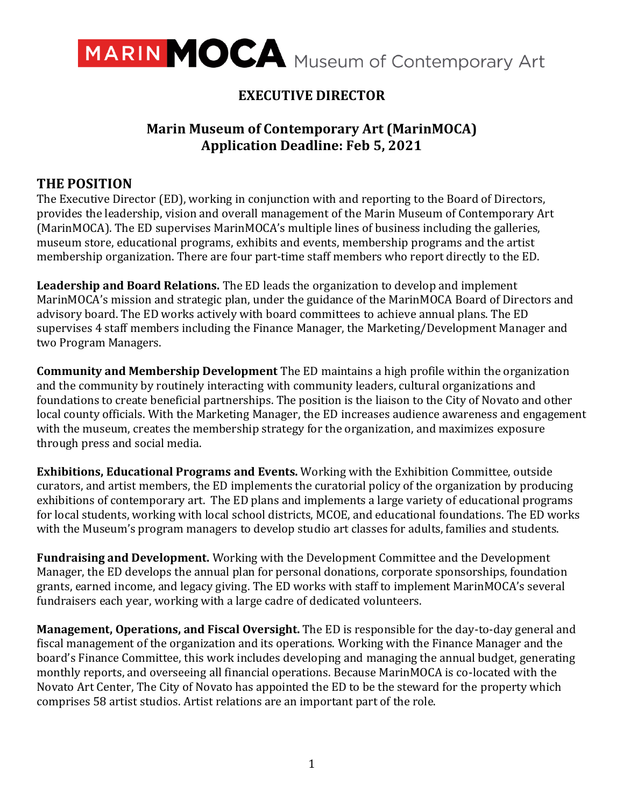

# **EXECUTIVE DIRECTOR**

## **Marin Museum of Contemporary Art (MarinMOCA) Application Deadline: Feb 5, 2021**

### **THE POSITION**

The Executive Director (ED), working in conjunction with and reporting to the Board of Directors, provides the leadership, vision and overall management of the Marin Museum of Contemporary Art (MarinMOCA). The ED supervises MarinMOCA's multiple lines of business including the galleries, museum store, educational programs, exhibits and events, membership programs and the artist membership organization. There are four part-time staff members who report directly to the ED.

**Leadership and Board Relations.** The ED leads the organization to develop and implement MarinMOCA's mission and strategic plan, under the guidance of the MarinMOCA Board of Directors and advisory board. The ED works actively with board committees to achieve annual plans. The ED supervises 4 staff members including the Finance Manager, the Marketing/Development Manager and two Program Managers.

**Community and Membership Development** The ED maintains a high profile within the organization and the community by routinely interacting with community leaders, cultural organizations and foundations to create beneficial partnerships. The position is the liaison to the City of Novato and other local county officials. With the Marketing Manager, the ED increases audience awareness and engagement with the museum, creates the membership strategy for the organization, and maximizes exposure through press and social media.

**Exhibitions, Educational Programs and Events.** Working with the Exhibition Committee, outside curators, and artist members, the ED implements the curatorial policy of the organization by producing exhibitions of contemporary art. The ED plans and implements a large variety of educational programs for local students, working with local school districts, MCOE, and educational foundations. The ED works with the Museum's program managers to develop studio art classes for adults, families and students.

**Fundraising and Development.** Working with the Development Committee and the Development Manager, the ED develops the annual plan for personal donations, corporate sponsorships, foundation grants, earned income, and legacy giving. The ED works with staff to implement MarinMOCA's several fundraisers each year, working with a large cadre of dedicated volunteers.

**Management, Operations, and Fiscal Oversight.** The ED is responsible for the day-to-day general and fiscal management of the organization and its operations. Working with the Finance Manager and the board's Finance Committee, this work includes developing and managing the annual budget, generating monthly reports, and overseeing all financial operations. Because MarinMOCA is co-located with the Novato Art Center, The City of Novato has appointed the ED to be the steward for the property which comprises 58 artist studios. Artist relations are an important part of the role.